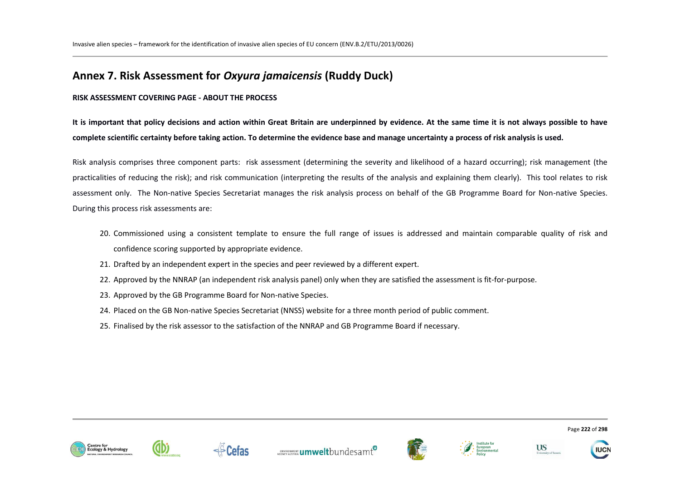# **Annex 7. Risk Assessment for** *Oxyura jamaicensis* **(Ruddy Duck)**

### **RISK ASSESSMENT COVERING PAGE - ABOUT THE PROCESS**

**It is important that policy decisions and action within Great Britain are underpinned by evidence. At the same time it is not always possible to have complete scientific certainty before taking action. To determine the evidence base and manage uncertainty a process of risk analysis is used.** 

Risk analysis comprises three component parts: risk assessment (determining the severity and likelihood of a hazard occurring); risk management (the practicalities of reducing the risk); and risk communication (interpreting the results of the analysis and explaining them clearly). This tool relates to risk assessment only. The Non-native Species Secretariat manages the risk analysis process on behalf of the GB Programme Board for Non-native Species. During this process risk assessments are:

- 20. Commissioned using a consistent template to ensure the full range of issues is addressed and maintain comparable quality of risk and confidence scoring supported by appropriate evidence.
- 21. Drafted by an independent expert in the species and peer reviewed by a different expert.
- 22. Approved by the NNRAP (an independent risk analysis panel) only when they are satisfied the assessment is fit-for-purpose.
- 23. Approved by the GB Programme Board for Non-native Species.
- 24. Placed on the GB Non-native Species Secretariat (NNSS) website for a three month period of public comment.
- 25. Finalised by the risk assessor to the satisfaction of the NNRAP and GB Programme Board if necessary.













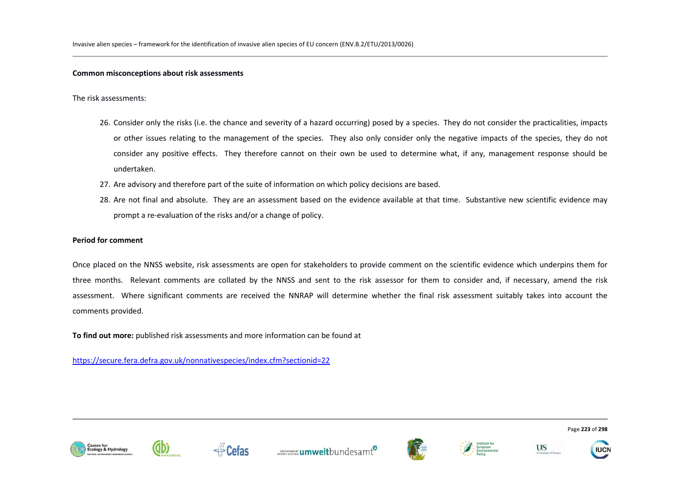#### **Common misconceptions about risk assessments**

The risk assessments:

- 26. Consider only the risks (i.e. the chance and severity of a hazard occurring) posed by a species. They do not consider the practicalities, impacts or other issues relating to the management of the species. They also only consider only the negative impacts of the species, they do not consider any positive effects. They therefore cannot on their own be used to determine what, if any, management response should be undertaken.
- 27. Are advisory and therefore part of the suite of information on which policy decisions are based.
- 28. Are not final and absolute. They are an assessment based on the evidence available at that time. Substantive new scientific evidence may prompt a re-evaluation of the risks and/or a change of policy.

### **Period for comment**

Once placed on the NNSS website, risk assessments are open for stakeholders to provide comment on the scientific evidence which underpins them for three months. Relevant comments are collated by the NNSS and sent to the risk assessor for them to consider and, if necessary, amend the risk assessment. Where significant comments are received the NNRAP will determine whether the final risk assessment suitably takes into account the comments provided.

**To find out more:** published risk assessments and more information can be found at

https://secure.fera.defra.gov.uk/nonnativespecies/index.cfm?sectionid=22















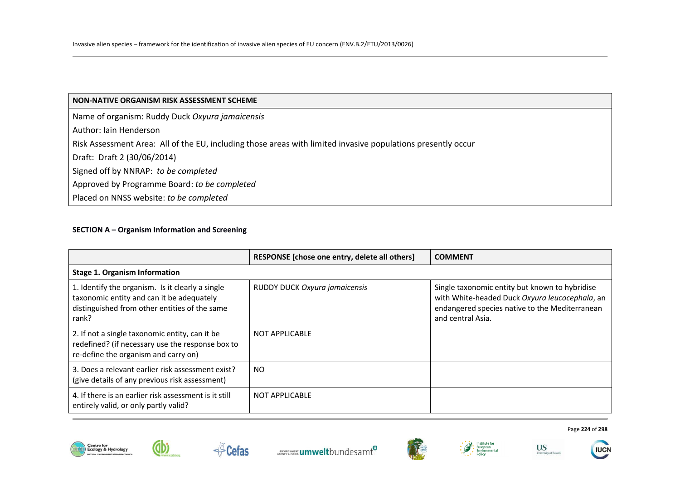# **SECTION A – Organism Information and Screening**

db

|                                                                                                                                                         | RESPONSE [chose one entry, delete all others] | <b>COMMENT</b>                                                                                                                                                          |
|---------------------------------------------------------------------------------------------------------------------------------------------------------|-----------------------------------------------|-------------------------------------------------------------------------------------------------------------------------------------------------------------------------|
| <b>Stage 1. Organism Information</b>                                                                                                                    |                                               |                                                                                                                                                                         |
| 1. Identify the organism. Is it clearly a single<br>taxonomic entity and can it be adequately<br>distinguished from other entities of the same<br>rank? | RUDDY DUCK Oxyura jamaicensis                 | Single taxonomic entity but known to hybridise<br>with White-headed Duck Oxyura leucocephala, an<br>endangered species native to the Mediterranean<br>and central Asia. |
| 2. If not a single taxonomic entity, can it be<br>redefined? (if necessary use the response box to<br>re-define the organism and carry on)              | <b>NOT APPLICABLE</b>                         |                                                                                                                                                                         |
| 3. Does a relevant earlier risk assessment exist?<br>(give details of any previous risk assessment)                                                     | <b>NO</b>                                     |                                                                                                                                                                         |
| 4. If there is an earlier risk assessment is it still<br>entirely valid, or only partly valid?                                                          | <b>NOT APPLICABLE</b>                         |                                                                                                                                                                         |











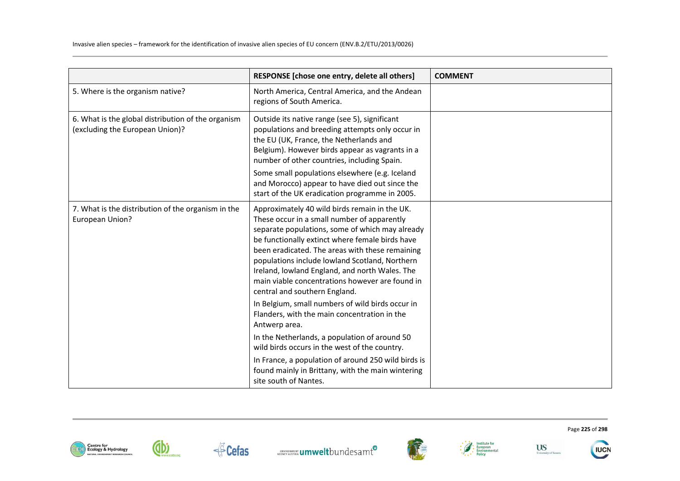|                                                                                       | RESPONSE [chose one entry, delete all others]                                                                                                                                                                                                                                                                                                                                                                                                 | <b>COMMENT</b> |
|---------------------------------------------------------------------------------------|-----------------------------------------------------------------------------------------------------------------------------------------------------------------------------------------------------------------------------------------------------------------------------------------------------------------------------------------------------------------------------------------------------------------------------------------------|----------------|
| 5. Where is the organism native?                                                      | North America, Central America, and the Andean<br>regions of South America.                                                                                                                                                                                                                                                                                                                                                                   |                |
| 6. What is the global distribution of the organism<br>(excluding the European Union)? | Outside its native range (see 5), significant<br>populations and breeding attempts only occur in<br>the EU (UK, France, the Netherlands and<br>Belgium). However birds appear as vagrants in a<br>number of other countries, including Spain.<br>Some small populations elsewhere (e.g. Iceland<br>and Morocco) appear to have died out since the<br>start of the UK eradication programme in 2005.                                           |                |
| 7. What is the distribution of the organism in the<br>European Union?                 | Approximately 40 wild birds remain in the UK.<br>These occur in a small number of apparently<br>separate populations, some of which may already<br>be functionally extinct where female birds have<br>been eradicated. The areas with these remaining<br>populations include lowland Scotland, Northern<br>Ireland, lowland England, and north Wales. The<br>main viable concentrations however are found in<br>central and southern England. |                |
|                                                                                       | In Belgium, small numbers of wild birds occur in<br>Flanders, with the main concentration in the<br>Antwerp area.                                                                                                                                                                                                                                                                                                                             |                |
|                                                                                       | In the Netherlands, a population of around 50<br>wild birds occurs in the west of the country.                                                                                                                                                                                                                                                                                                                                                |                |
|                                                                                       | In France, a population of around 250 wild birds is<br>found mainly in Brittany, with the main wintering<br>site south of Nantes.                                                                                                                                                                                                                                                                                                             |                |











Page **225** of **298**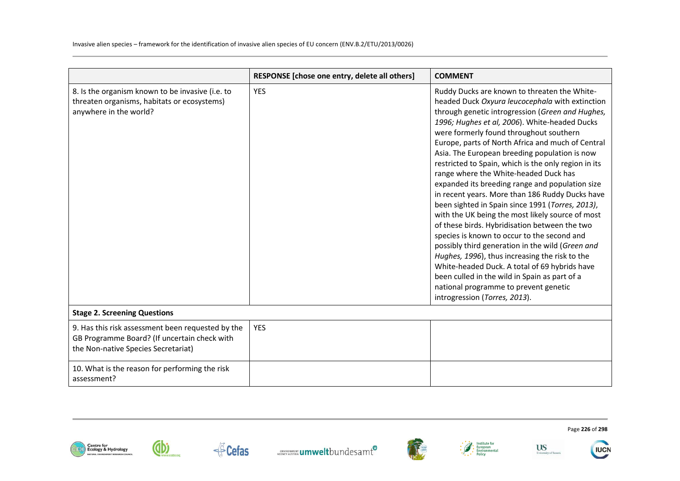|                                                                                                                                          | RESPONSE [chose one entry, delete all others] | <b>COMMENT</b>                                                                                                                                                                                                                                                                                                                                                                                                                                                                                                                                                                                                                                                                                                                                                                                                                                                                                                                                                                                                                                         |
|------------------------------------------------------------------------------------------------------------------------------------------|-----------------------------------------------|--------------------------------------------------------------------------------------------------------------------------------------------------------------------------------------------------------------------------------------------------------------------------------------------------------------------------------------------------------------------------------------------------------------------------------------------------------------------------------------------------------------------------------------------------------------------------------------------------------------------------------------------------------------------------------------------------------------------------------------------------------------------------------------------------------------------------------------------------------------------------------------------------------------------------------------------------------------------------------------------------------------------------------------------------------|
| 8. Is the organism known to be invasive (i.e. to<br>threaten organisms, habitats or ecosystems)<br>anywhere in the world?                | <b>YES</b>                                    | Ruddy Ducks are known to threaten the White-<br>headed Duck Oxyura leucocephala with extinction<br>through genetic introgression (Green and Hughes,<br>1996; Hughes et al, 2006). White-headed Ducks<br>were formerly found throughout southern<br>Europe, parts of North Africa and much of Central<br>Asia. The European breeding population is now<br>restricted to Spain, which is the only region in its<br>range where the White-headed Duck has<br>expanded its breeding range and population size<br>in recent years. More than 186 Ruddy Ducks have<br>been sighted in Spain since 1991 (Torres, 2013),<br>with the UK being the most likely source of most<br>of these birds. Hybridisation between the two<br>species is known to occur to the second and<br>possibly third generation in the wild (Green and<br>Hughes, 1996), thus increasing the risk to the<br>White-headed Duck. A total of 69 hybrids have<br>been culled in the wild in Spain as part of a<br>national programme to prevent genetic<br>introgression (Torres, 2013). |
| <b>Stage 2. Screening Questions</b>                                                                                                      |                                               |                                                                                                                                                                                                                                                                                                                                                                                                                                                                                                                                                                                                                                                                                                                                                                                                                                                                                                                                                                                                                                                        |
| 9. Has this risk assessment been requested by the<br>GB Programme Board? (If uncertain check with<br>the Non-native Species Secretariat) | <b>YES</b>                                    |                                                                                                                                                                                                                                                                                                                                                                                                                                                                                                                                                                                                                                                                                                                                                                                                                                                                                                                                                                                                                                                        |
| 10. What is the reason for performing the risk<br>assessment?                                                                            |                                               |                                                                                                                                                                                                                                                                                                                                                                                                                                                                                                                                                                                                                                                                                                                                                                                                                                                                                                                                                                                                                                                        |













Page **226** of **298** 

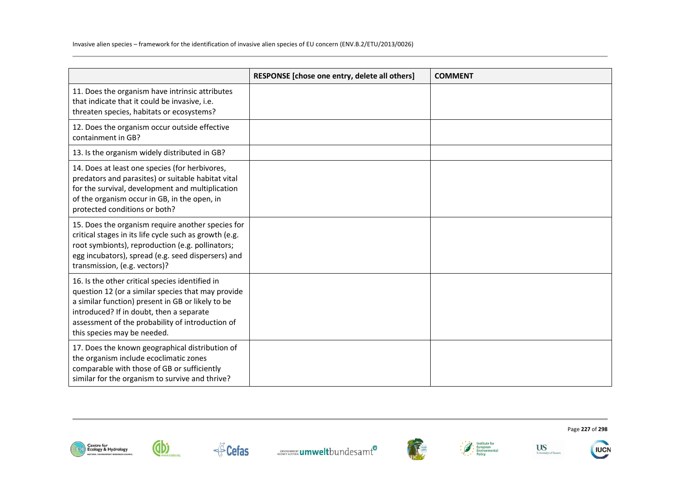|                                                                                                                                                                                                                                                                                           | RESPONSE [chose one entry, delete all others] | <b>COMMENT</b> |
|-------------------------------------------------------------------------------------------------------------------------------------------------------------------------------------------------------------------------------------------------------------------------------------------|-----------------------------------------------|----------------|
| 11. Does the organism have intrinsic attributes<br>that indicate that it could be invasive, i.e.<br>threaten species, habitats or ecosystems?                                                                                                                                             |                                               |                |
| 12. Does the organism occur outside effective<br>containment in GB?                                                                                                                                                                                                                       |                                               |                |
| 13. Is the organism widely distributed in GB?                                                                                                                                                                                                                                             |                                               |                |
| 14. Does at least one species (for herbivores,<br>predators and parasites) or suitable habitat vital<br>for the survival, development and multiplication<br>of the organism occur in GB, in the open, in<br>protected conditions or both?                                                 |                                               |                |
| 15. Does the organism require another species for<br>critical stages in its life cycle such as growth (e.g.<br>root symbionts), reproduction (e.g. pollinators;<br>egg incubators), spread (e.g. seed dispersers) and<br>transmission, (e.g. vectors)?                                    |                                               |                |
| 16. Is the other critical species identified in<br>question 12 (or a similar species that may provide<br>a similar function) present in GB or likely to be<br>introduced? If in doubt, then a separate<br>assessment of the probability of introduction of<br>this species may be needed. |                                               |                |
| 17. Does the known geographical distribution of<br>the organism include ecoclimatic zones<br>comparable with those of GB or sufficiently<br>similar for the organism to survive and thrive?                                                                                               |                                               |                |











Page **227** of **298**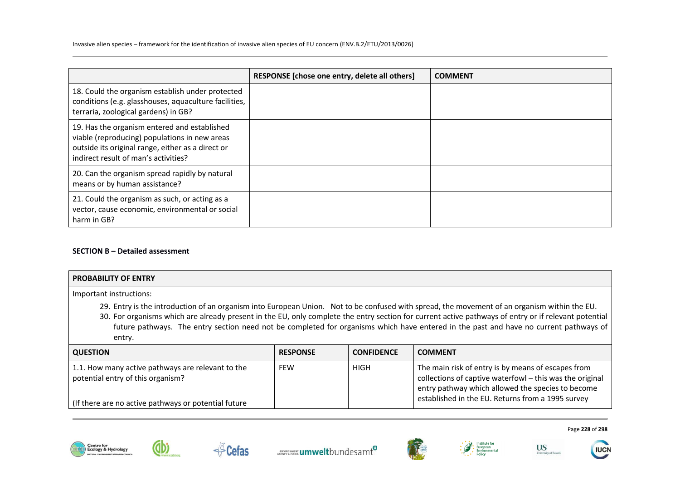|                                                                                                                                                                                            | RESPONSE [chose one entry, delete all others] | <b>COMMENT</b> |
|--------------------------------------------------------------------------------------------------------------------------------------------------------------------------------------------|-----------------------------------------------|----------------|
| 18. Could the organism establish under protected<br>conditions (e.g. glasshouses, aquaculture facilities,<br>terraria, zoological gardens) in GB?                                          |                                               |                |
| 19. Has the organism entered and established<br>viable (reproducing) populations in new areas<br>outside its original range, either as a direct or<br>indirect result of man's activities? |                                               |                |
| 20. Can the organism spread rapidly by natural<br>means or by human assistance?                                                                                                            |                                               |                |
| 21. Could the organism as such, or acting as a<br>vector, cause economic, environmental or social<br>harm in GB?                                                                           |                                               |                |

# **SECTION B – Detailed assessment**

| <b>PROBABILITY OF ENTRY</b>                                                                                                                                                                                                                                                                                                                                                                                                                             |                 |                   |                                                    |
|---------------------------------------------------------------------------------------------------------------------------------------------------------------------------------------------------------------------------------------------------------------------------------------------------------------------------------------------------------------------------------------------------------------------------------------------------------|-----------------|-------------------|----------------------------------------------------|
| Important instructions:                                                                                                                                                                                                                                                                                                                                                                                                                                 |                 |                   |                                                    |
| 29. Entry is the introduction of an organism into European Union. Not to be confused with spread, the movement of an organism within the EU.<br>30. For organisms which are already present in the EU, only complete the entry section for current active pathways of entry or if relevant potential<br>future pathways. The entry section need not be completed for organisms which have entered in the past and have no current pathways of<br>entry. |                 |                   |                                                    |
| <b>QUESTION</b>                                                                                                                                                                                                                                                                                                                                                                                                                                         | <b>RESPONSE</b> | <b>CONFIDENCE</b> | <b>COMMENT</b>                                     |
| 11 How many active nathways ass relevant to the                                                                                                                                                                                                                                                                                                                                                                                                         | <b>CCIAL</b>    | பட்ட              | The main rick of entry is by means of essance from |

| 1.1. How many active pathways are relevant to the<br>potential entry of this organism? | FEW | HIGH | The main risk of entry is by means of escapes from<br>collections of captive waterfowl - this was the original<br>entry pathway which allowed the species to become<br>established in the EU. Returns from a 1995 survey |
|----------------------------------------------------------------------------------------|-----|------|--------------------------------------------------------------------------------------------------------------------------------------------------------------------------------------------------------------------------|
| (If there are no active pathways or potential future)                                  |     |      |                                                                                                                                                                                                                          |
|                                                                                        |     |      |                                                                                                                                                                                                                          |





dbi





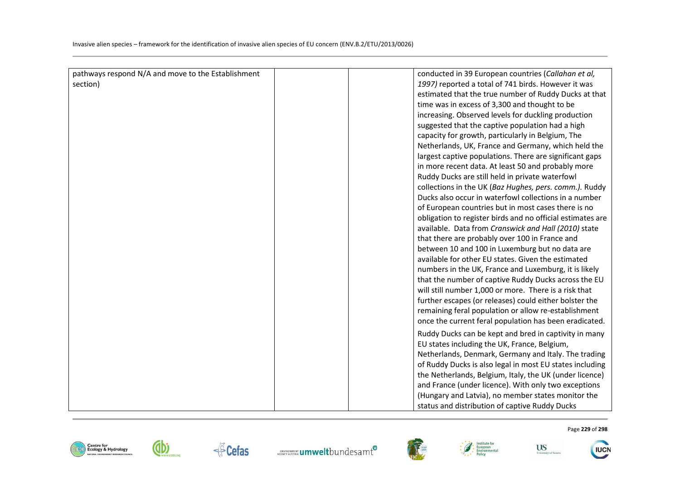| pathways respond N/A and move to the Establishment | conducted in 39 European countries (Callahan et al,        |
|----------------------------------------------------|------------------------------------------------------------|
| section)                                           | 1997) reported a total of 741 birds. However it was        |
|                                                    | estimated that the true number of Ruddy Ducks at that      |
|                                                    | time was in excess of 3,300 and thought to be              |
|                                                    | increasing. Observed levels for duckling production        |
|                                                    | suggested that the captive population had a high           |
|                                                    | capacity for growth, particularly in Belgium, The          |
|                                                    | Netherlands, UK, France and Germany, which held the        |
|                                                    | largest captive populations. There are significant gaps    |
|                                                    | in more recent data. At least 50 and probably more         |
|                                                    | Ruddy Ducks are still held in private waterfowl            |
|                                                    | collections in the UK (Baz Hughes, pers. comm.). Ruddy     |
|                                                    | Ducks also occur in waterfowl collections in a number      |
|                                                    | of European countries but in most cases there is no        |
|                                                    | obligation to register birds and no official estimates are |
|                                                    | available. Data from Cranswick and Hall (2010) state       |
|                                                    | that there are probably over 100 in France and             |
|                                                    | between 10 and 100 in Luxemburg but no data are            |
|                                                    | available for other EU states. Given the estimated         |
|                                                    | numbers in the UK, France and Luxemburg, it is likely      |
|                                                    | that the number of captive Ruddy Ducks across the EU       |
|                                                    | will still number 1,000 or more. There is a risk that      |
|                                                    | further escapes (or releases) could either bolster the     |
|                                                    | remaining feral population or allow re-establishment       |
|                                                    | once the current feral population has been eradicated.     |
|                                                    | Ruddy Ducks can be kept and bred in captivity in many      |
|                                                    | EU states including the UK, France, Belgium,               |
|                                                    | Netherlands, Denmark, Germany and Italy. The trading       |
|                                                    | of Ruddy Ducks is also legal in most EU states including   |
|                                                    | the Netherlands, Belgium, Italy, the UK (under licence)    |
|                                                    | and France (under licence). With only two exceptions       |
|                                                    | (Hungary and Latvia), no member states monitor the         |
|                                                    | status and distribution of captive Ruddy Ducks             |











Page **229** of **298** 

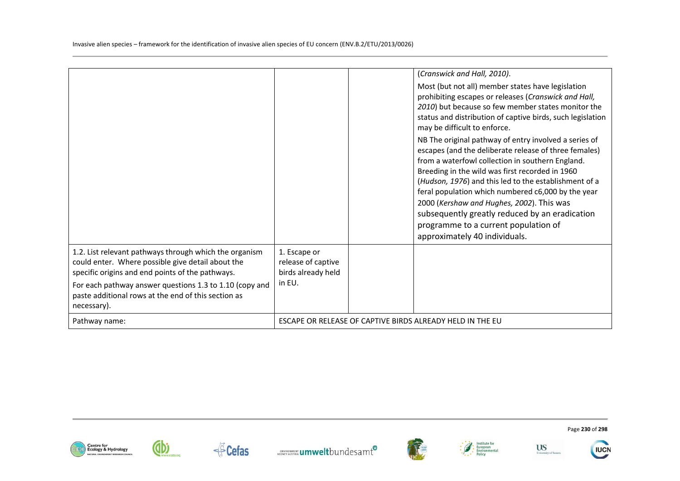|                                                                                                                                                                                                                            |                                                                    | (Cranswick and Hall, 2010).<br>Most (but not all) member states have legislation<br>prohibiting escapes or releases (Cranswick and Hall,<br>2010) but because so few member states monitor the<br>status and distribution of captive birds, such legislation<br>may be difficult to enforce.<br>NB The original pathway of entry involved a series of<br>escapes (and the deliberate release of three females) |
|----------------------------------------------------------------------------------------------------------------------------------------------------------------------------------------------------------------------------|--------------------------------------------------------------------|----------------------------------------------------------------------------------------------------------------------------------------------------------------------------------------------------------------------------------------------------------------------------------------------------------------------------------------------------------------------------------------------------------------|
|                                                                                                                                                                                                                            |                                                                    | from a waterfowl collection in southern England.<br>Breeding in the wild was first recorded in 1960<br>(Hudson, 1976) and this led to the establishment of a<br>feral population which numbered c6,000 by the year<br>2000 (Kershaw and Hughes, 2002). This was<br>subsequently greatly reduced by an eradication<br>programme to a current population of<br>approximately 40 individuals.                     |
| 1.2. List relevant pathways through which the organism<br>could enter. Where possible give detail about the<br>specific origins and end points of the pathways.<br>For each pathway answer questions 1.3 to 1.10 (copy and | 1. Escape or<br>release of captive<br>birds already held<br>in EU. |                                                                                                                                                                                                                                                                                                                                                                                                                |
| paste additional rows at the end of this section as<br>necessary).<br>Pathway name:                                                                                                                                        |                                                                    | ESCAPE OR RELEASE OF CAPTIVE BIRDS ALREADY HELD IN THE EU                                                                                                                                                                                                                                                                                                                                                      |















Page **230** of **298**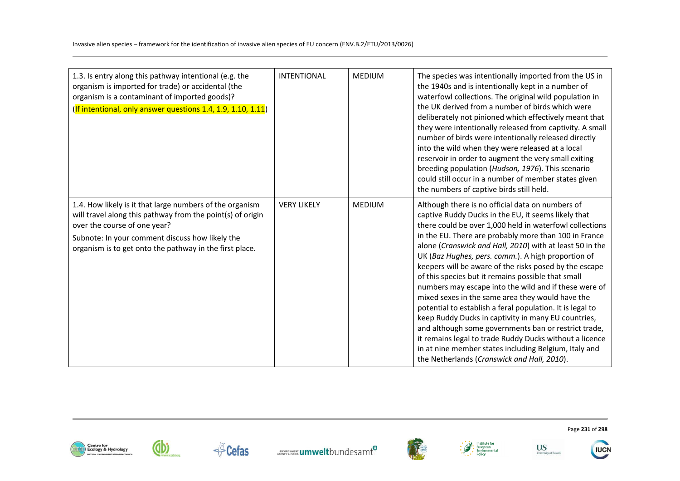| 1.3. Is entry along this pathway intentional (e.g. the<br>organism is imported for trade) or accidental (the<br>organism is a contaminant of imported goods)?<br>(If intentional, only answer questions 1.4, 1.9, 1.10, 1.11)                                        | <b>INTENTIONAL</b> | <b>MEDIUM</b> | The species was intentionally imported from the US in<br>the 1940s and is intentionally kept in a number of<br>waterfowl collections. The original wild population in<br>the UK derived from a number of birds which were<br>deliberately not pinioned which effectively meant that<br>they were intentionally released from captivity. A small<br>number of birds were intentionally released directly<br>into the wild when they were released at a local<br>reservoir in order to augment the very small exiting<br>breeding population (Hudson, 1976). This scenario<br>could still occur in a number of member states given<br>the numbers of captive birds still held.                                                                                                                                                                                                                                              |
|----------------------------------------------------------------------------------------------------------------------------------------------------------------------------------------------------------------------------------------------------------------------|--------------------|---------------|---------------------------------------------------------------------------------------------------------------------------------------------------------------------------------------------------------------------------------------------------------------------------------------------------------------------------------------------------------------------------------------------------------------------------------------------------------------------------------------------------------------------------------------------------------------------------------------------------------------------------------------------------------------------------------------------------------------------------------------------------------------------------------------------------------------------------------------------------------------------------------------------------------------------------|
| 1.4. How likely is it that large numbers of the organism<br>will travel along this pathway from the point(s) of origin<br>over the course of one year?<br>Subnote: In your comment discuss how likely the<br>organism is to get onto the pathway in the first place. | <b>VERY LIKELY</b> | <b>MEDIUM</b> | Although there is no official data on numbers of<br>captive Ruddy Ducks in the EU, it seems likely that<br>there could be over 1,000 held in waterfowl collections<br>in the EU. There are probably more than 100 in France<br>alone (Cranswick and Hall, 2010) with at least 50 in the<br>UK (Baz Hughes, pers. comm.). A high proportion of<br>keepers will be aware of the risks posed by the escape<br>of this species but it remains possible that small<br>numbers may escape into the wild and if these were of<br>mixed sexes in the same area they would have the<br>potential to establish a feral population. It is legal to<br>keep Ruddy Ducks in captivity in many EU countries,<br>and although some governments ban or restrict trade,<br>it remains legal to trade Ruddy Ducks without a licence<br>in at nine member states including Belgium, Italy and<br>the Netherlands (Cranswick and Hall, 2010). |















**IUCN**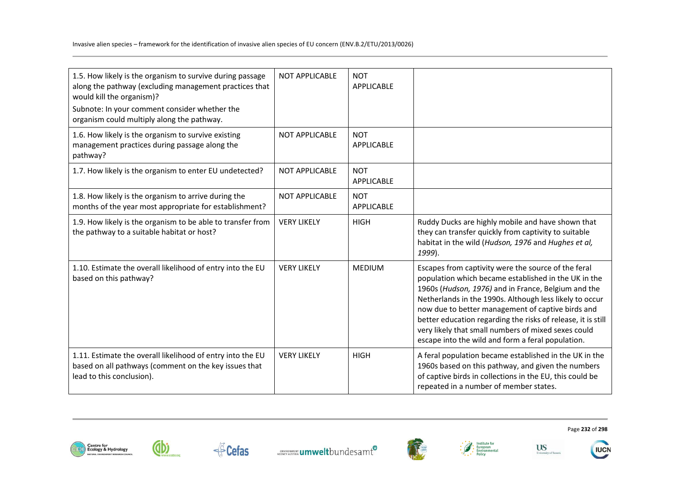| 1.5. How likely is the organism to survive during passage<br>along the pathway (excluding management practices that<br>would kill the organism)?<br>Subnote: In your comment consider whether the<br>organism could multiply along the pathway. | <b>NOT APPLICABLE</b> | <b>NOT</b><br>APPLICABLE        |                                                                                                                                                                                                                                                                                                                                                                                                                                                                |
|-------------------------------------------------------------------------------------------------------------------------------------------------------------------------------------------------------------------------------------------------|-----------------------|---------------------------------|----------------------------------------------------------------------------------------------------------------------------------------------------------------------------------------------------------------------------------------------------------------------------------------------------------------------------------------------------------------------------------------------------------------------------------------------------------------|
| 1.6. How likely is the organism to survive existing<br>management practices during passage along the<br>pathway?                                                                                                                                | <b>NOT APPLICABLE</b> | <b>NOT</b><br><b>APPLICABLE</b> |                                                                                                                                                                                                                                                                                                                                                                                                                                                                |
| 1.7. How likely is the organism to enter EU undetected?                                                                                                                                                                                         | <b>NOT APPLICABLE</b> | <b>NOT</b><br><b>APPLICABLE</b> |                                                                                                                                                                                                                                                                                                                                                                                                                                                                |
| 1.8. How likely is the organism to arrive during the<br>months of the year most appropriate for establishment?                                                                                                                                  | <b>NOT APPLICABLE</b> | <b>NOT</b><br><b>APPLICABLE</b> |                                                                                                                                                                                                                                                                                                                                                                                                                                                                |
| 1.9. How likely is the organism to be able to transfer from<br>the pathway to a suitable habitat or host?                                                                                                                                       | <b>VERY LIKELY</b>    | <b>HIGH</b>                     | Ruddy Ducks are highly mobile and have shown that<br>they can transfer quickly from captivity to suitable<br>habitat in the wild (Hudson, 1976 and Hughes et al,<br>1999).                                                                                                                                                                                                                                                                                     |
| 1.10. Estimate the overall likelihood of entry into the EU<br>based on this pathway?                                                                                                                                                            | <b>VERY LIKELY</b>    | <b>MEDIUM</b>                   | Escapes from captivity were the source of the feral<br>population which became established in the UK in the<br>1960s (Hudson, 1976) and in France, Belgium and the<br>Netherlands in the 1990s. Although less likely to occur<br>now due to better management of captive birds and<br>better education regarding the risks of release, it is still<br>very likely that small numbers of mixed sexes could<br>escape into the wild and form a feral population. |
| 1.11. Estimate the overall likelihood of entry into the EU<br>based on all pathways (comment on the key issues that<br>lead to this conclusion).                                                                                                | <b>VERY LIKELY</b>    | <b>HIGH</b>                     | A feral population became established in the UK in the<br>1960s based on this pathway, and given the numbers<br>of captive birds in collections in the EU, this could be<br>repeated in a number of member states.                                                                                                                                                                                                                                             |





**E**Cefas









Page **232** of **298** 



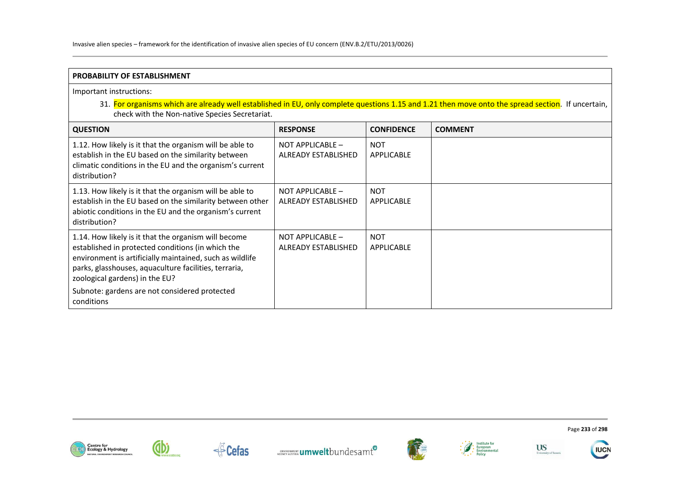Invasive alien species – framework for the identification of invasive alien species of EU concern (ENV.B.2/ETU/2013/0026)

| PROBABILITY OF ESTABLISHMENT                                                                                                                                                                                                                                     |                                                |                                 |                |  |
|------------------------------------------------------------------------------------------------------------------------------------------------------------------------------------------------------------------------------------------------------------------|------------------------------------------------|---------------------------------|----------------|--|
| Important instructions:<br>31. For organisms which are already well established in EU, only complete questions 1.15 and 1.21 then move onto the spread section. If uncertain,<br>check with the Non-native Species Secretariat.                                  |                                                |                                 |                |  |
| <b>QUESTION</b>                                                                                                                                                                                                                                                  | <b>RESPONSE</b>                                | <b>CONFIDENCE</b>               | <b>COMMENT</b> |  |
| 1.12. How likely is it that the organism will be able to<br>establish in the EU based on the similarity between<br>climatic conditions in the EU and the organism's current<br>distribution?                                                                     | NOT APPLICABLE -<br><b>ALREADY ESTABLISHED</b> | <b>NOT</b><br><b>APPLICABLE</b> |                |  |
| 1.13. How likely is it that the organism will be able to<br>establish in the EU based on the similarity between other<br>abiotic conditions in the EU and the organism's current<br>distribution?                                                                | NOT APPLICABLE -<br><b>ALREADY ESTABLISHED</b> | <b>NOT</b><br><b>APPLICABLE</b> |                |  |
| 1.14. How likely is it that the organism will become<br>established in protected conditions (in which the<br>environment is artificially maintained, such as wildlife<br>parks, glasshouses, aquaculture facilities, terraria,<br>zoological gardens) in the EU? | NOT APPLICABLE -<br><b>ALREADY ESTABLISHED</b> | <b>NOT</b><br>APPLICABLE        |                |  |
| Subnote: gardens are not considered protected<br>conditions                                                                                                                                                                                                      |                                                |                                 |                |  |













Page **233** of **298**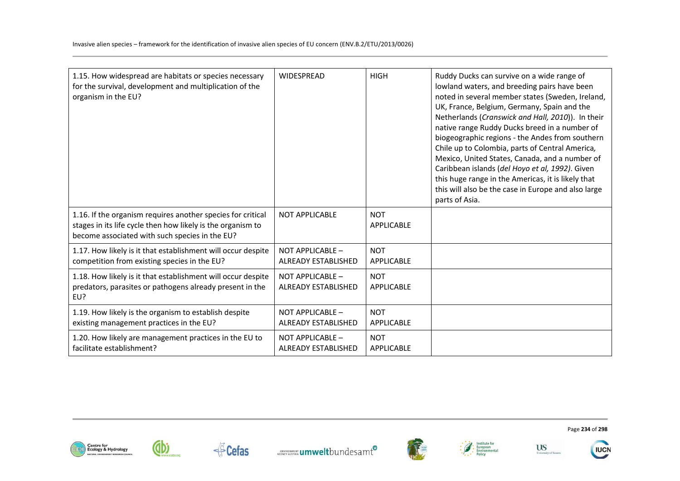| 1.15. How widespread are habitats or species necessary<br>for the survival, development and multiplication of the<br>organism in the EU?                                     | <b>WIDESPREAD</b>                              | <b>HIGH</b>                     | Ruddy Ducks can survive on a wide range of<br>lowland waters, and breeding pairs have been<br>noted in several member states (Sweden, Ireland,<br>UK, France, Belgium, Germany, Spain and the<br>Netherlands (Cranswick and Hall, 2010)). In their<br>native range Ruddy Ducks breed in a number of<br>biogeographic regions - the Andes from southern<br>Chile up to Colombia, parts of Central America,<br>Mexico, United States, Canada, and a number of<br>Caribbean islands (del Hoyo et al, 1992). Given<br>this huge range in the Americas, it is likely that<br>this will also be the case in Europe and also large<br>parts of Asia. |
|------------------------------------------------------------------------------------------------------------------------------------------------------------------------------|------------------------------------------------|---------------------------------|-----------------------------------------------------------------------------------------------------------------------------------------------------------------------------------------------------------------------------------------------------------------------------------------------------------------------------------------------------------------------------------------------------------------------------------------------------------------------------------------------------------------------------------------------------------------------------------------------------------------------------------------------|
| 1.16. If the organism requires another species for critical<br>stages in its life cycle then how likely is the organism to<br>become associated with such species in the EU? | <b>NOT APPLICABLE</b>                          | <b>NOT</b><br><b>APPLICABLE</b> |                                                                                                                                                                                                                                                                                                                                                                                                                                                                                                                                                                                                                                               |
| 1.17. How likely is it that establishment will occur despite                                                                                                                 | NOT APPLICABLE -                               | <b>NOT</b>                      |                                                                                                                                                                                                                                                                                                                                                                                                                                                                                                                                                                                                                                               |
| competition from existing species in the EU?                                                                                                                                 | <b>ALREADY ESTABLISHED</b>                     | <b>APPLICABLE</b>               |                                                                                                                                                                                                                                                                                                                                                                                                                                                                                                                                                                                                                                               |
| 1.18. How likely is it that establishment will occur despite<br>predators, parasites or pathogens already present in the<br>EU?                                              | NOT APPLICABLE -<br><b>ALREADY ESTABLISHED</b> | <b>NOT</b><br>APPLICABLE        |                                                                                                                                                                                                                                                                                                                                                                                                                                                                                                                                                                                                                                               |
| 1.19. How likely is the organism to establish despite                                                                                                                        | NOT APPLICABLE -                               | <b>NOT</b>                      |                                                                                                                                                                                                                                                                                                                                                                                                                                                                                                                                                                                                                                               |
| existing management practices in the EU?                                                                                                                                     | <b>ALREADY ESTABLISHED</b>                     | <b>APPLICABLE</b>               |                                                                                                                                                                                                                                                                                                                                                                                                                                                                                                                                                                                                                                               |
| 1.20. How likely are management practices in the EU to                                                                                                                       | NOT APPLICABLE -                               | <b>NOT</b>                      |                                                                                                                                                                                                                                                                                                                                                                                                                                                                                                                                                                                                                                               |
| facilitate establishment?                                                                                                                                                    | <b>ALREADY ESTABLISHED</b>                     | <b>APPLICABLE</b>               |                                                                                                                                                                                                                                                                                                                                                                                                                                                                                                                                                                                                                                               |













Page **234** of **298** 

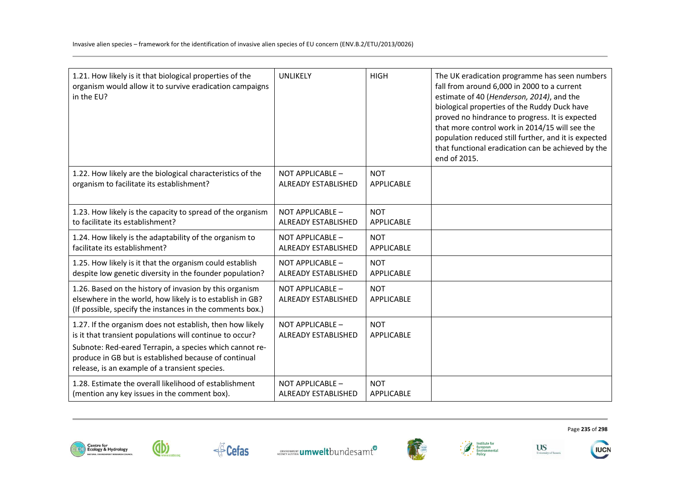| 1.21. How likely is it that biological properties of the<br>organism would allow it to survive eradication campaigns<br>in the EU?                                                                                                                                                          | UNLIKELY                                       | <b>HIGH</b>              | The UK eradication programme has seen numbers<br>fall from around 6,000 in 2000 to a current<br>estimate of 40 (Henderson, 2014), and the<br>biological properties of the Ruddy Duck have<br>proved no hindrance to progress. It is expected<br>that more control work in 2014/15 will see the<br>population reduced still further, and it is expected<br>that functional eradication can be achieved by the<br>end of 2015. |
|---------------------------------------------------------------------------------------------------------------------------------------------------------------------------------------------------------------------------------------------------------------------------------------------|------------------------------------------------|--------------------------|------------------------------------------------------------------------------------------------------------------------------------------------------------------------------------------------------------------------------------------------------------------------------------------------------------------------------------------------------------------------------------------------------------------------------|
| 1.22. How likely are the biological characteristics of the                                                                                                                                                                                                                                  | NOT APPLICABLE -                               | <b>NOT</b>               |                                                                                                                                                                                                                                                                                                                                                                                                                              |
| organism to facilitate its establishment?                                                                                                                                                                                                                                                   | <b>ALREADY ESTABLISHED</b>                     | APPLICABLE               |                                                                                                                                                                                                                                                                                                                                                                                                                              |
| 1.23. How likely is the capacity to spread of the organism                                                                                                                                                                                                                                  | NOT APPLICABLE -                               | <b>NOT</b>               |                                                                                                                                                                                                                                                                                                                                                                                                                              |
| to facilitate its establishment?                                                                                                                                                                                                                                                            | <b>ALREADY ESTABLISHED</b>                     | APPLICABLE               |                                                                                                                                                                                                                                                                                                                                                                                                                              |
| 1.24. How likely is the adaptability of the organism to                                                                                                                                                                                                                                     | NOT APPLICABLE -                               | <b>NOT</b>               |                                                                                                                                                                                                                                                                                                                                                                                                                              |
| facilitate its establishment?                                                                                                                                                                                                                                                               | <b>ALREADY ESTABLISHED</b>                     | APPLICABLE               |                                                                                                                                                                                                                                                                                                                                                                                                                              |
| 1.25. How likely is it that the organism could establish                                                                                                                                                                                                                                    | NOT APPLICABLE -                               | <b>NOT</b>               |                                                                                                                                                                                                                                                                                                                                                                                                                              |
| despite low genetic diversity in the founder population?                                                                                                                                                                                                                                    | <b>ALREADY ESTABLISHED</b>                     | APPLICABLE               |                                                                                                                                                                                                                                                                                                                                                                                                                              |
| 1.26. Based on the history of invasion by this organism<br>elsewhere in the world, how likely is to establish in GB?<br>(If possible, specify the instances in the comments box.)                                                                                                           | NOT APPLICABLE -<br><b>ALREADY ESTABLISHED</b> | <b>NOT</b><br>APPLICABLE |                                                                                                                                                                                                                                                                                                                                                                                                                              |
| 1.27. If the organism does not establish, then how likely<br>is it that transient populations will continue to occur?<br>Subnote: Red-eared Terrapin, a species which cannot re-<br>produce in GB but is established because of continual<br>release, is an example of a transient species. | NOT APPLICABLE -<br><b>ALREADY ESTABLISHED</b> | <b>NOT</b><br>APPLICABLE |                                                                                                                                                                                                                                                                                                                                                                                                                              |
| 1.28. Estimate the overall likelihood of establishment                                                                                                                                                                                                                                      | NOT APPLICABLE -                               | <b>NOT</b>               |                                                                                                                                                                                                                                                                                                                                                                                                                              |
| (mention any key issues in the comment box).                                                                                                                                                                                                                                                | <b>ALREADY ESTABLISHED</b>                     | APPLICABLE               |                                                                                                                                                                                                                                                                                                                                                                                                                              |











Page **235** of **298**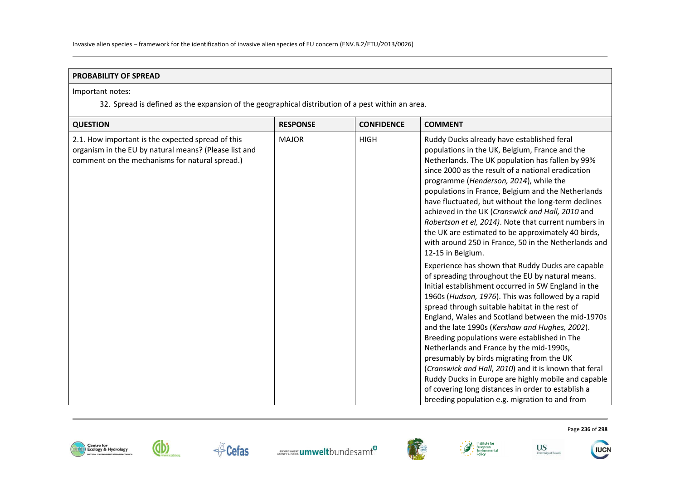### **PROBABILITY OF SPREAD**

### Important notes:

32. Spread is defined as the expansion of the geographical distribution of a pest within an area.

| <b>QUESTION</b>                                                                                                                                              | <b>RESPONSE</b> | <b>CONFIDENCE</b> | <b>COMMENT</b>                                                                                                                                                                                                                                                                                                                                                                                                                                                                                                                                                                                                                                                                          |
|--------------------------------------------------------------------------------------------------------------------------------------------------------------|-----------------|-------------------|-----------------------------------------------------------------------------------------------------------------------------------------------------------------------------------------------------------------------------------------------------------------------------------------------------------------------------------------------------------------------------------------------------------------------------------------------------------------------------------------------------------------------------------------------------------------------------------------------------------------------------------------------------------------------------------------|
| 2.1. How important is the expected spread of this<br>organism in the EU by natural means? (Please list and<br>comment on the mechanisms for natural spread.) | <b>MAJOR</b>    | <b>HIGH</b>       | Ruddy Ducks already have established feral<br>populations in the UK, Belgium, France and the<br>Netherlands. The UK population has fallen by 99%<br>since 2000 as the result of a national eradication<br>programme (Henderson, 2014), while the<br>populations in France, Belgium and the Netherlands<br>have fluctuated, but without the long-term declines<br>achieved in the UK (Cranswick and Hall, 2010 and<br>Robertson et el, 2014). Note that current numbers in<br>the UK are estimated to be approximately 40 birds,<br>with around 250 in France, 50 in the Netherlands and<br>12-15 in Belgium.<br>Experience has shown that Ruddy Ducks are capable                       |
|                                                                                                                                                              |                 |                   | of spreading throughout the EU by natural means.<br>Initial establishment occurred in SW England in the<br>1960s (Hudson, 1976). This was followed by a rapid<br>spread through suitable habitat in the rest of<br>England, Wales and Scotland between the mid-1970s<br>and the late 1990s (Kershaw and Hughes, 2002).<br>Breeding populations were established in The<br>Netherlands and France by the mid-1990s,<br>presumably by birds migrating from the UK<br>(Cranswick and Hall, 2010) and it is known that feral<br>Ruddy Ducks in Europe are highly mobile and capable<br>of covering long distances in order to establish a<br>breeding population e.g. migration to and from |





dbi







Page **236** of **298**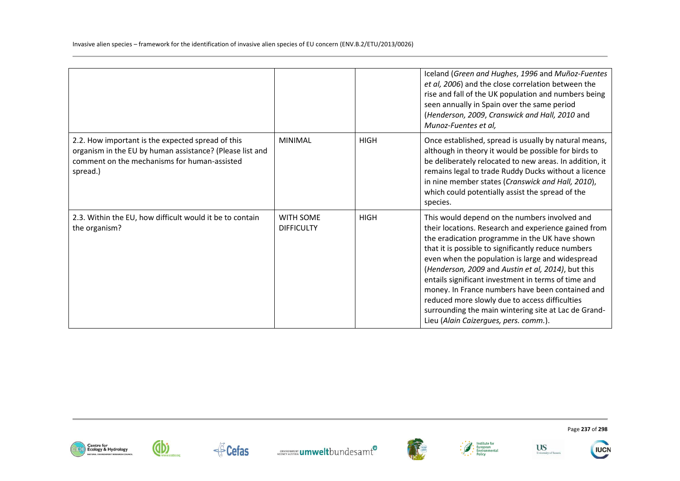Invasive alien species – framework for the identification of invasive alien species of EU concern (ENV.B.2/ETU/2013/0026)

|                                                                                                                                                                           |                                       |             | Iceland (Green and Hughes, 1996 and Muñoz-Fuentes<br>et al, 2006) and the close correlation between the<br>rise and fall of the UK population and numbers being<br>seen annually in Spain over the same period<br>(Henderson, 2009, Cranswick and Hall, 2010 and<br>Munoz-Fuentes et al,                                                                                                                                                                                                                                                                                               |
|---------------------------------------------------------------------------------------------------------------------------------------------------------------------------|---------------------------------------|-------------|----------------------------------------------------------------------------------------------------------------------------------------------------------------------------------------------------------------------------------------------------------------------------------------------------------------------------------------------------------------------------------------------------------------------------------------------------------------------------------------------------------------------------------------------------------------------------------------|
| 2.2. How important is the expected spread of this<br>organism in the EU by human assistance? (Please list and<br>comment on the mechanisms for human-assisted<br>spread.) | <b>MINIMAL</b>                        | <b>HIGH</b> | Once established, spread is usually by natural means,<br>although in theory it would be possible for birds to<br>be deliberately relocated to new areas. In addition, it<br>remains legal to trade Ruddy Ducks without a licence<br>in nine member states (Cranswick and Hall, 2010),<br>which could potentially assist the spread of the<br>species.                                                                                                                                                                                                                                  |
| 2.3. Within the EU, how difficult would it be to contain<br>the organism?                                                                                                 | <b>WITH SOME</b><br><b>DIFFICULTY</b> | <b>HIGH</b> | This would depend on the numbers involved and<br>their locations. Research and experience gained from<br>the eradication programme in the UK have shown<br>that it is possible to significantly reduce numbers<br>even when the population is large and widespread<br>(Henderson, 2009 and Austin et al, 2014), but this<br>entails significant investment in terms of time and<br>money. In France numbers have been contained and<br>reduced more slowly due to access difficulties<br>surrounding the main wintering site at Lac de Grand-<br>Lieu (Alain Caizergues, pers. comm.). |













Page **237** of **298** 

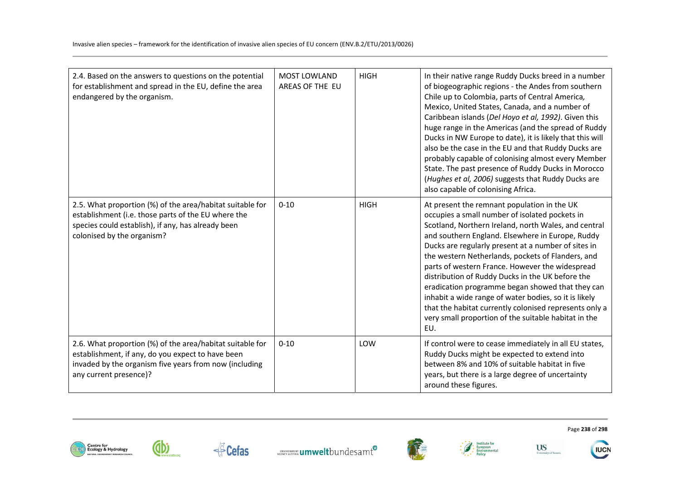| 2.4. Based on the answers to questions on the potential<br>for establishment and spread in the EU, define the area<br>endangered by the organism.                                                    | <b>MOST LOWLAND</b><br>AREAS OF THE EU | <b>HIGH</b> | In their native range Ruddy Ducks breed in a number<br>of biogeographic regions - the Andes from southern<br>Chile up to Colombia, parts of Central America,<br>Mexico, United States, Canada, and a number of<br>Caribbean islands (Del Hoyo et al, 1992). Given this<br>huge range in the Americas (and the spread of Ruddy<br>Ducks in NW Europe to date), it is likely that this will<br>also be the case in the EU and that Ruddy Ducks are<br>probably capable of colonising almost every Member<br>State. The past presence of Ruddy Ducks in Morocco<br>(Hughes et al, 2006) suggests that Ruddy Ducks are<br>also capable of colonising Africa.           |
|------------------------------------------------------------------------------------------------------------------------------------------------------------------------------------------------------|----------------------------------------|-------------|--------------------------------------------------------------------------------------------------------------------------------------------------------------------------------------------------------------------------------------------------------------------------------------------------------------------------------------------------------------------------------------------------------------------------------------------------------------------------------------------------------------------------------------------------------------------------------------------------------------------------------------------------------------------|
| 2.5. What proportion (%) of the area/habitat suitable for<br>establishment (i.e. those parts of the EU where the<br>species could establish), if any, has already been<br>colonised by the organism? | $0 - 10$                               | <b>HIGH</b> | At present the remnant population in the UK<br>occupies a small number of isolated pockets in<br>Scotland, Northern Ireland, north Wales, and central<br>and southern England. Elsewhere in Europe, Ruddy<br>Ducks are regularly present at a number of sites in<br>the western Netherlands, pockets of Flanders, and<br>parts of western France. However the widespread<br>distribution of Ruddy Ducks in the UK before the<br>eradication programme began showed that they can<br>inhabit a wide range of water bodies, so it is likely<br>that the habitat currently colonised represents only a<br>very small proportion of the suitable habitat in the<br>EU. |
| 2.6. What proportion (%) of the area/habitat suitable for<br>establishment, if any, do you expect to have been<br>invaded by the organism five years from now (including<br>any current presence)?   | $0 - 10$                               | LOW         | If control were to cease immediately in all EU states,<br>Ruddy Ducks might be expected to extend into<br>between 8% and 10% of suitable habitat in five<br>years, but there is a large degree of uncertainty<br>around these figures.                                                                                                                                                                                                                                                                                                                                                                                                                             |





**dbi** 







Page **238** of **298**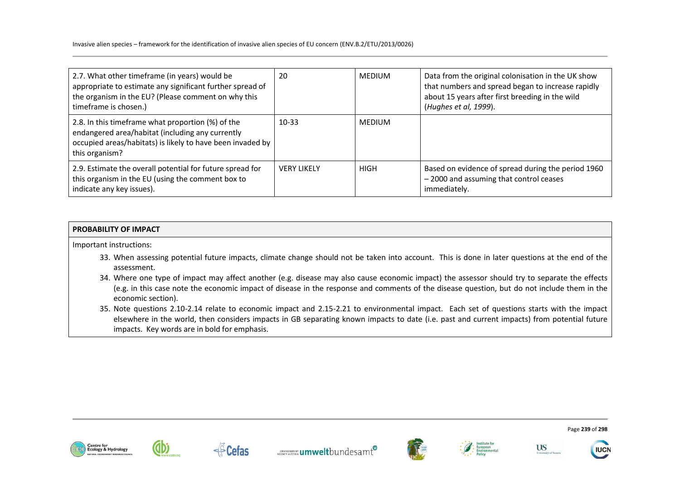Invasive alien species – framework for the identification of invasive alien species of EU concern (ENV.B.2/ETU/2013/0026)

| 2.7. What other timeframe (in years) would be<br>appropriate to estimate any significant further spread of<br>the organism in the EU? (Please comment on why this<br>timeframe is chosen.) | 20                 | <b>MEDIUM</b> | Data from the original colonisation in the UK show<br>that numbers and spread began to increase rapidly<br>about 15 years after first breeding in the wild<br>(Hughes et al, 1999). |
|--------------------------------------------------------------------------------------------------------------------------------------------------------------------------------------------|--------------------|---------------|-------------------------------------------------------------------------------------------------------------------------------------------------------------------------------------|
| 2.8. In this timeframe what proportion (%) of the<br>endangered area/habitat (including any currently<br>occupied areas/habitats) is likely to have been invaded by<br>this organism?      | $10 - 33$          | <b>MEDIUM</b> |                                                                                                                                                                                     |
| 2.9. Estimate the overall potential for future spread for<br>this organism in the EU (using the comment box to<br>indicate any key issues).                                                | <b>VERY LIKELY</b> | <b>HIGH</b>   | Based on evidence of spread during the period 1960<br>-2000 and assuming that control ceases<br>immediately.                                                                        |

## **PROBABILITY OF IMPACT**

Important instructions:

- 33. When assessing potential future impacts, climate change should not be taken into account. This is done in later questions at the end of the assessment.
- 34. Where one type of impact may affect another (e.g. disease may also cause economic impact) the assessor should try to separate the effects (e.g. in this case note the economic impact of disease in the response and comments of the disease question, but do not include them in the economic section).
- 35. Note questions 2.10-2.14 relate to economic impact and 2.15-2.21 to environmental impact. Each set of questions starts with the impact elsewhere in the world, then considers impacts in GB separating known impacts to date (i.e. past and current impacts) from potential future impacts. Key words are in bold for emphasis.













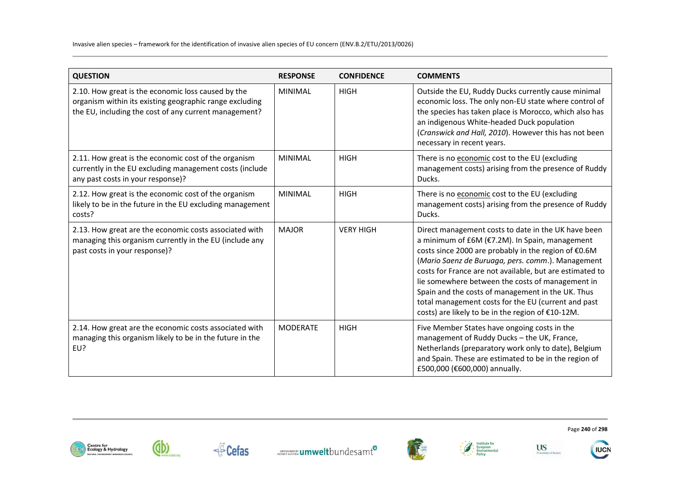| <b>QUESTION</b>                                                                                                                                                        | <b>RESPONSE</b> | <b>CONFIDENCE</b> | <b>COMMENTS</b>                                                                                                                                                                                                                                                                                                                                                                                                                                                                                     |
|------------------------------------------------------------------------------------------------------------------------------------------------------------------------|-----------------|-------------------|-----------------------------------------------------------------------------------------------------------------------------------------------------------------------------------------------------------------------------------------------------------------------------------------------------------------------------------------------------------------------------------------------------------------------------------------------------------------------------------------------------|
| 2.10. How great is the economic loss caused by the<br>organism within its existing geographic range excluding<br>the EU, including the cost of any current management? | <b>MINIMAL</b>  | <b>HIGH</b>       | Outside the EU, Ruddy Ducks currently cause minimal<br>economic loss. The only non-EU state where control of<br>the species has taken place is Morocco, which also has<br>an indigenous White-headed Duck population<br>(Cranswick and Hall, 2010). However this has not been<br>necessary in recent years.                                                                                                                                                                                         |
| 2.11. How great is the economic cost of the organism<br>currently in the EU excluding management costs (include<br>any past costs in your response)?                   | <b>MINIMAL</b>  | <b>HIGH</b>       | There is no economic cost to the EU (excluding<br>management costs) arising from the presence of Ruddy<br>Ducks.                                                                                                                                                                                                                                                                                                                                                                                    |
| 2.12. How great is the economic cost of the organism<br>likely to be in the future in the EU excluding management<br>costs?                                            | <b>MINIMAL</b>  | <b>HIGH</b>       | There is no economic cost to the EU (excluding<br>management costs) arising from the presence of Ruddy<br>Ducks.                                                                                                                                                                                                                                                                                                                                                                                    |
| 2.13. How great are the economic costs associated with<br>managing this organism currently in the EU (include any<br>past costs in your response)?                     | <b>MAJOR</b>    | <b>VERY HIGH</b>  | Direct management costs to date in the UK have been<br>a minimum of £6M (€7.2M). In Spain, management<br>costs since 2000 are probably in the region of €0.6M<br>(Mario Saenz de Buruaga, pers. comm.). Management<br>costs for France are not available, but are estimated to<br>lie somewhere between the costs of management in<br>Spain and the costs of management in the UK. Thus<br>total management costs for the EU (current and past<br>costs) are likely to be in the region of €10-12M. |
| 2.14. How great are the economic costs associated with<br>managing this organism likely to be in the future in the<br>EU?                                              | <b>MODERATE</b> | <b>HIGH</b>       | Five Member States have ongoing costs in the<br>management of Ruddy Ducks - the UK, France,<br>Netherlands (preparatory work only to date), Belgium<br>and Spain. These are estimated to be in the region of<br>£500,000 (€600,000) annually.                                                                                                                                                                                                                                                       |













**US** 

University of Susset

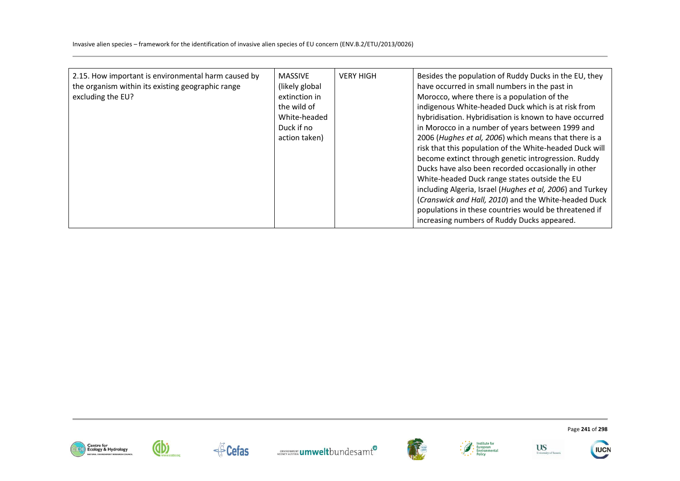| 2.15. How important is environmental harm caused by<br>the organism within its existing geographic range<br>excluding the EU? | <b>MASSIVE</b><br>(likely global<br>extinction in<br>the wild of<br>White-headed<br>Duck if no<br>action taken) | <b>VERY HIGH</b> | Besides the population of Ruddy Ducks in the EU, they<br>have occurred in small numbers in the past in<br>Morocco, where there is a population of the<br>indigenous White-headed Duck which is at risk from<br>hybridisation. Hybridisation is known to have occurred<br>in Morocco in a number of years between 1999 and<br>2006 (Hughes et al, 2006) which means that there is a<br>risk that this population of the White-headed Duck will<br>become extinct through genetic introgression. Ruddy<br>Ducks have also been recorded occasionally in other<br>White-headed Duck range states outside the EU<br>including Algeria, Israel (Hughes et al, 2006) and Turkey<br>(Cranswick and Hall, 2010) and the White-headed Duck<br>populations in these countries would be threatened if<br>increasing numbers of Ruddy Ducks appeared. |
|-------------------------------------------------------------------------------------------------------------------------------|-----------------------------------------------------------------------------------------------------------------|------------------|-------------------------------------------------------------------------------------------------------------------------------------------------------------------------------------------------------------------------------------------------------------------------------------------------------------------------------------------------------------------------------------------------------------------------------------------------------------------------------------------------------------------------------------------------------------------------------------------------------------------------------------------------------------------------------------------------------------------------------------------------------------------------------------------------------------------------------------------|
|-------------------------------------------------------------------------------------------------------------------------------|-----------------------------------------------------------------------------------------------------------------|------------------|-------------------------------------------------------------------------------------------------------------------------------------------------------------------------------------------------------------------------------------------------------------------------------------------------------------------------------------------------------------------------------------------------------------------------------------------------------------------------------------------------------------------------------------------------------------------------------------------------------------------------------------------------------------------------------------------------------------------------------------------------------------------------------------------------------------------------------------------|















Page **241** of **298** 

**IUCN**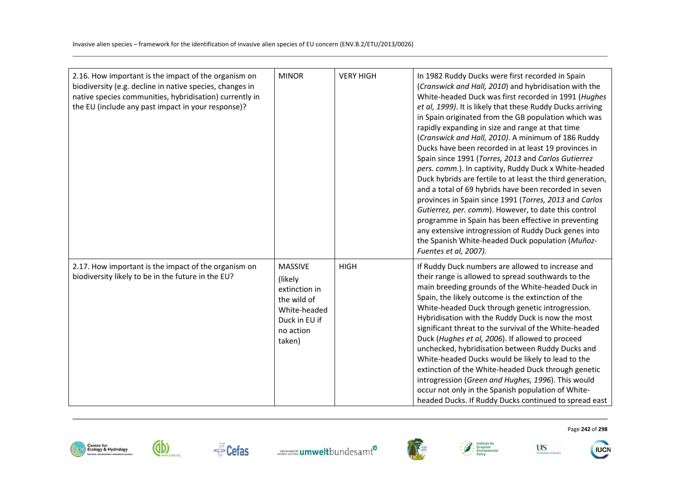| 2.16. How important is the impact of the organism on<br>biodiversity (e.g. decline in native species, changes in<br>native species communities, hybridisation) currently in<br>the EU (include any past impact in your response)? | <b>MINOR</b>                                                                                                       | <b>VERY HIGH</b> | In 1982 Ruddy Ducks were first recorded in Spain<br>(Cranswick and Hall, 2010) and hybridisation with the<br>White-headed Duck was first recorded in 1991 (Hughes<br>et al, 1999). It is likely that these Ruddy Ducks arriving<br>in Spain originated from the GB population which was<br>rapidly expanding in size and range at that time<br>(Cranswick and Hall, 2010). A minimum of 186 Ruddy<br>Ducks have been recorded in at least 19 provinces in<br>Spain since 1991 (Torres, 2013 and Carlos Gutierrez<br>pers. comm.). In captivity, Ruddy Duck x White-headed<br>Duck hybrids are fertile to at least the third generation,<br>and a total of 69 hybrids have been recorded in seven<br>provinces in Spain since 1991 (Torres, 2013 and Carlos<br>Gutierrez, per. comm). However, to date this control<br>programme in Spain has been effective in preventing<br>any extensive introgression of Ruddy Duck genes into<br>the Spanish White-headed Duck population (Muñoz-<br>Fuentes et al, 2007). |
|-----------------------------------------------------------------------------------------------------------------------------------------------------------------------------------------------------------------------------------|--------------------------------------------------------------------------------------------------------------------|------------------|----------------------------------------------------------------------------------------------------------------------------------------------------------------------------------------------------------------------------------------------------------------------------------------------------------------------------------------------------------------------------------------------------------------------------------------------------------------------------------------------------------------------------------------------------------------------------------------------------------------------------------------------------------------------------------------------------------------------------------------------------------------------------------------------------------------------------------------------------------------------------------------------------------------------------------------------------------------------------------------------------------------|
| 2.17. How important is the impact of the organism on<br>biodiversity likely to be in the future in the EU?                                                                                                                        | <b>MASSIVE</b><br>(likely)<br>extinction in<br>the wild of<br>White-headed<br>Duck in EU if<br>no action<br>taken) | <b>HIGH</b>      | If Ruddy Duck numbers are allowed to increase and<br>their range is allowed to spread southwards to the<br>main breeding grounds of the White-headed Duck in<br>Spain, the likely outcome is the extinction of the<br>White-headed Duck through genetic introgression.<br>Hybridisation with the Ruddy Duck is now the most<br>significant threat to the survival of the White-headed<br>Duck (Hughes et al, 2006). If allowed to proceed<br>unchecked, hybridisation between Ruddy Ducks and<br>White-headed Ducks would be likely to lead to the<br>extinction of the White-headed Duck through genetic<br>introgression (Green and Hughes, 1996). This would<br>occur not only in the Spanish population of White-<br>headed Ducks. If Ruddy Ducks continued to spread east                                                                                                                                                                                                                                 |





←<sup>△</sup>Cefas







**US** 

University of Susset

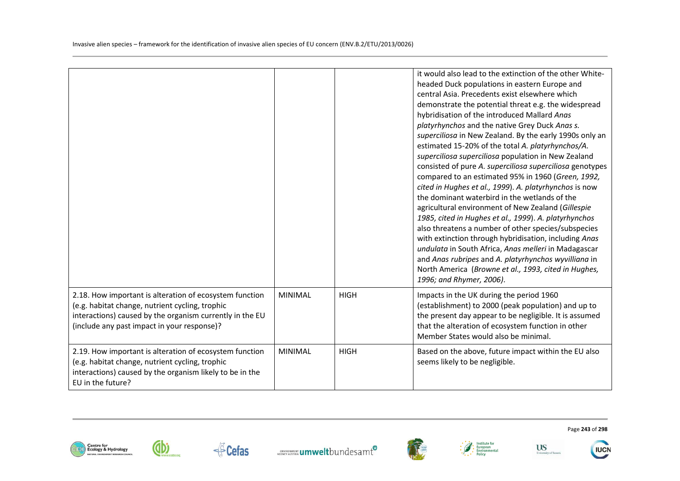|                                                                                                                                                                                                                       |                |             | it would also lead to the extinction of the other White-<br>headed Duck populations in eastern Europe and<br>central Asia. Precedents exist elsewhere which<br>demonstrate the potential threat e.g. the widespread<br>hybridisation of the introduced Mallard Anas<br>platyrhynchos and the native Grey Duck Anas s.<br>superciliosa in New Zealand. By the early 1990s only an<br>estimated 15-20% of the total A. platyrhynchos/A.<br>superciliosa superciliosa population in New Zealand<br>consisted of pure A. superciliosa superciliosa genotypes<br>compared to an estimated 95% in 1960 (Green, 1992,<br>cited in Hughes et al., 1999). A. platyrhynchos is now<br>the dominant waterbird in the wetlands of the<br>agricultural environment of New Zealand (Gillespie<br>1985, cited in Hughes et al., 1999). A. platyrhynchos<br>also threatens a number of other species/subspecies<br>with extinction through hybridisation, including Anas<br>undulata in South Africa, Anas melleri in Madagascar<br>and Anas rubripes and A. platyrhynchos wyvilliana in<br>North America (Browne et al., 1993, cited in Hughes,<br>1996; and Rhymer, 2006). |
|-----------------------------------------------------------------------------------------------------------------------------------------------------------------------------------------------------------------------|----------------|-------------|--------------------------------------------------------------------------------------------------------------------------------------------------------------------------------------------------------------------------------------------------------------------------------------------------------------------------------------------------------------------------------------------------------------------------------------------------------------------------------------------------------------------------------------------------------------------------------------------------------------------------------------------------------------------------------------------------------------------------------------------------------------------------------------------------------------------------------------------------------------------------------------------------------------------------------------------------------------------------------------------------------------------------------------------------------------------------------------------------------------------------------------------------------------|
| 2.18. How important is alteration of ecosystem function<br>(e.g. habitat change, nutrient cycling, trophic<br>interactions) caused by the organism currently in the EU<br>(include any past impact in your response)? | <b>MINIMAL</b> | <b>HIGH</b> | Impacts in the UK during the period 1960<br>(establishment) to 2000 (peak population) and up to<br>the present day appear to be negligible. It is assumed<br>that the alteration of ecosystem function in other<br>Member States would also be minimal.                                                                                                                                                                                                                                                                                                                                                                                                                                                                                                                                                                                                                                                                                                                                                                                                                                                                                                      |
| 2.19. How important is alteration of ecosystem function<br>(e.g. habitat change, nutrient cycling, trophic<br>interactions) caused by the organism likely to be in the<br>EU in the future?                           | <b>MINIMAL</b> | <b>HIGH</b> | Based on the above, future impact within the EU also<br>seems likely to be negligible.                                                                                                                                                                                                                                                                                                                                                                                                                                                                                                                                                                                                                                                                                                                                                                                                                                                                                                                                                                                                                                                                       |





**F** Cefas





University of Susset

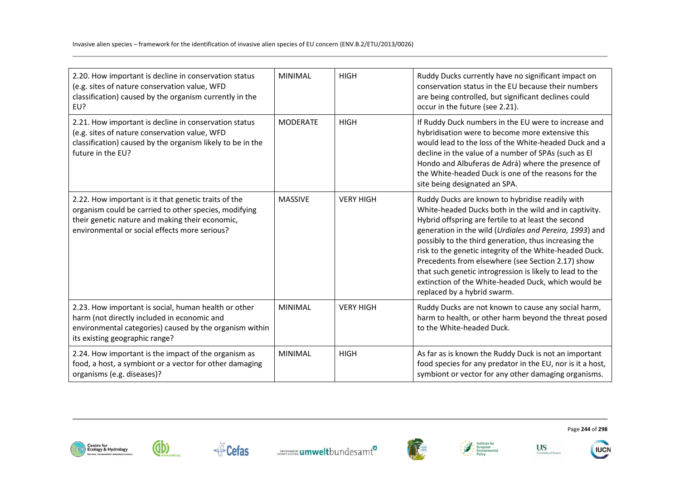| 2.20. How important is decline in conservation status<br>(e.g. sites of nature conservation value, WFD<br>classification) caused by the organism currently in the<br>EU?                                          | <b>MINIMAL</b>  | <b>HIGH</b>      | Ruddy Ducks currently have no significant impact on<br>conservation status in the EU because their numbers<br>are being controlled, but significant declines could<br>occur in the future (see 2.21).                                                                                                                                                                                                                                                                                                                                                 |
|-------------------------------------------------------------------------------------------------------------------------------------------------------------------------------------------------------------------|-----------------|------------------|-------------------------------------------------------------------------------------------------------------------------------------------------------------------------------------------------------------------------------------------------------------------------------------------------------------------------------------------------------------------------------------------------------------------------------------------------------------------------------------------------------------------------------------------------------|
| 2.21. How important is decline in conservation status<br>(e.g. sites of nature conservation value, WFD<br>classification) caused by the organism likely to be in the<br>future in the EU?                         | <b>MODERATE</b> | <b>HIGH</b>      | If Ruddy Duck numbers in the EU were to increase and<br>hybridisation were to become more extensive this<br>would lead to the loss of the White-headed Duck and a<br>decline in the value of a number of SPAs (such as El<br>Hondo and Albuferas de Adrá) where the presence of<br>the White-headed Duck is one of the reasons for the<br>site being designated an SPA.                                                                                                                                                                               |
| 2.22. How important is it that genetic traits of the<br>organism could be carried to other species, modifying<br>their genetic nature and making their economic,<br>environmental or social effects more serious? | <b>MASSIVE</b>  | <b>VERY HIGH</b> | Ruddy Ducks are known to hybridise readily with<br>White-headed Ducks both in the wild and in captivity.<br>Hybrid offspring are fertile to at least the second<br>generation in the wild (Urdiales and Pereira, 1993) and<br>possibly to the third generation, thus increasing the<br>risk to the genetic integrity of the White-headed Duck.<br>Precedents from elsewhere (see Section 2.17) show<br>that such genetic introgression is likely to lead to the<br>extinction of the White-headed Duck, which would be<br>replaced by a hybrid swarm. |
| 2.23. How important is social, human health or other<br>harm (not directly included in economic and<br>environmental categories) caused by the organism within<br>its existing geographic range?                  | <b>MINIMAL</b>  | <b>VERY HIGH</b> | Ruddy Ducks are not known to cause any social harm,<br>harm to health, or other harm beyond the threat posed<br>to the White-headed Duck.                                                                                                                                                                                                                                                                                                                                                                                                             |
| 2.24. How important is the impact of the organism as<br>food, a host, a symbiont or a vector for other damaging<br>organisms (e.g. diseases)?                                                                     | <b>MINIMAL</b>  | <b>HIGH</b>      | As far as is known the Ruddy Duck is not an important<br>food species for any predator in the EU, nor is it a host,<br>symbiont or vector for any other damaging organisms.                                                                                                                                                                                                                                                                                                                                                                           |











Page **244** of **298**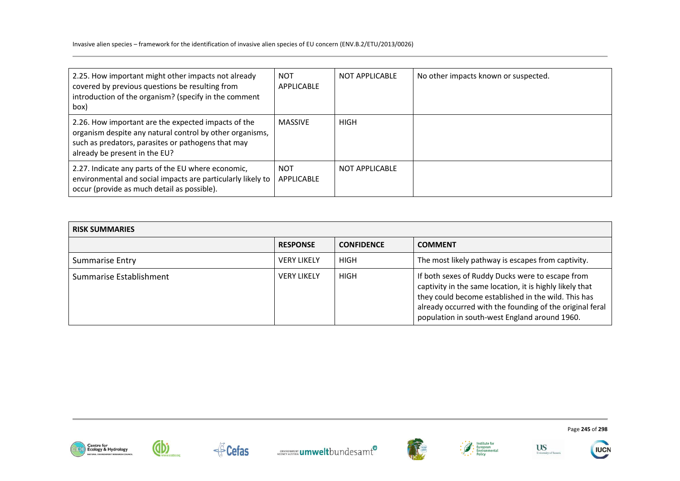| 2.25. How important might other impacts not already<br>covered by previous questions be resulting from<br>introduction of the organism? (specify in the comment<br>box)                                | <b>NOT</b><br>APPLICABLE | NOT APPLICABLE | No other impacts known or suspected. |
|--------------------------------------------------------------------------------------------------------------------------------------------------------------------------------------------------------|--------------------------|----------------|--------------------------------------|
| 2.26. How important are the expected impacts of the<br>organism despite any natural control by other organisms,<br>such as predators, parasites or pathogens that may<br>already be present in the EU? | <b>MASSIVE</b>           | <b>HIGH</b>    |                                      |
| 2.27. Indicate any parts of the EU where economic,<br>environmental and social impacts are particularly likely to<br>occur (provide as much detail as possible).                                       | <b>NOT</b><br>APPLICABLE | NOT APPLICABLE |                                      |

| <b>RISK SUMMARIES</b>   |                    |                   |                                                                                                                                                                                                                                                                                  |
|-------------------------|--------------------|-------------------|----------------------------------------------------------------------------------------------------------------------------------------------------------------------------------------------------------------------------------------------------------------------------------|
|                         | <b>RESPONSE</b>    | <b>CONFIDENCE</b> | <b>COMMENT</b>                                                                                                                                                                                                                                                                   |
| <b>Summarise Entry</b>  | <b>VERY LIKELY</b> | <b>HIGH</b>       | The most likely pathway is escapes from captivity.                                                                                                                                                                                                                               |
| Summarise Establishment | <b>VERY LIKELY</b> | HIGH              | If both sexes of Ruddy Ducks were to escape from<br>captivity in the same location, it is highly likely that<br>they could become established in the wild. This has<br>already occurred with the founding of the original feral<br>population in south-west England around 1960. |











Page **245** of **298**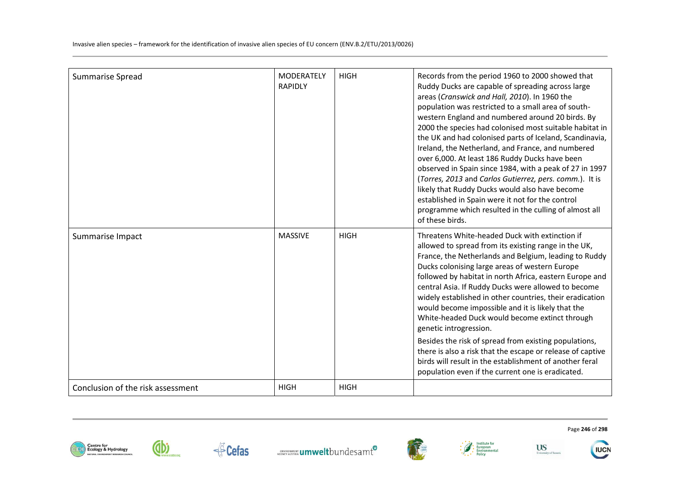| <b>Summarise Spread</b>           | <b>MODERATELY</b><br><b>RAPIDLY</b> | <b>HIGH</b> | Records from the period 1960 to 2000 showed that<br>Ruddy Ducks are capable of spreading across large<br>areas (Cranswick and Hall, 2010). In 1960 the<br>population was restricted to a small area of south-<br>western England and numbered around 20 birds. By<br>2000 the species had colonised most suitable habitat in<br>the UK and had colonised parts of Iceland, Scandinavia,<br>Ireland, the Netherland, and France, and numbered<br>over 6,000. At least 186 Ruddy Ducks have been<br>observed in Spain since 1984, with a peak of 27 in 1997<br>(Torres, 2013 and Carlos Gutierrez, pers. comm.). It is<br>likely that Ruddy Ducks would also have become<br>established in Spain were it not for the control<br>programme which resulted in the culling of almost all<br>of these birds. |
|-----------------------------------|-------------------------------------|-------------|--------------------------------------------------------------------------------------------------------------------------------------------------------------------------------------------------------------------------------------------------------------------------------------------------------------------------------------------------------------------------------------------------------------------------------------------------------------------------------------------------------------------------------------------------------------------------------------------------------------------------------------------------------------------------------------------------------------------------------------------------------------------------------------------------------|
| Summarise Impact                  | <b>MASSIVE</b>                      | <b>HIGH</b> | Threatens White-headed Duck with extinction if<br>allowed to spread from its existing range in the UK,<br>France, the Netherlands and Belgium, leading to Ruddy<br>Ducks colonising large areas of western Europe<br>followed by habitat in north Africa, eastern Europe and<br>central Asia. If Ruddy Ducks were allowed to become<br>widely established in other countries, their eradication<br>would become impossible and it is likely that the<br>White-headed Duck would become extinct through<br>genetic introgression.<br>Besides the risk of spread from existing populations,<br>there is also a risk that the escape or release of captive<br>birds will result in the establishment of another feral<br>population even if the current one is eradicated.                                |
| Conclusion of the risk assessment | <b>HIGH</b>                         | <b>HIGH</b> |                                                                                                                                                                                                                                                                                                                                                                                                                                                                                                                                                                                                                                                                                                                                                                                                        |





**dbi** 







Page **246** of **298**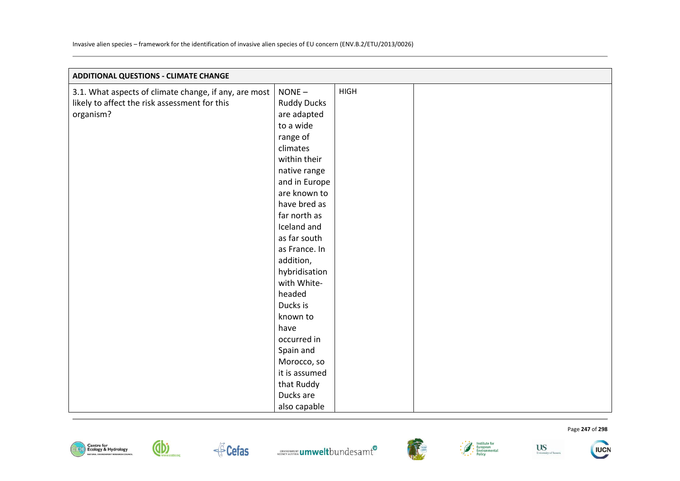| <b>ADDITIONAL QUESTIONS - CLIMATE CHANGE</b>          |                    |             |  |
|-------------------------------------------------------|--------------------|-------------|--|
| 3.1. What aspects of climate change, if any, are most | $NONE -$           | <b>HIGH</b> |  |
| likely to affect the risk assessment for this         | <b>Ruddy Ducks</b> |             |  |
| organism?                                             | are adapted        |             |  |
|                                                       | to a wide          |             |  |
|                                                       | range of           |             |  |
|                                                       | climates           |             |  |
|                                                       | within their       |             |  |
|                                                       | native range       |             |  |
|                                                       | and in Europe      |             |  |
|                                                       | are known to       |             |  |
|                                                       | have bred as       |             |  |
|                                                       | far north as       |             |  |
|                                                       | Iceland and        |             |  |
|                                                       | as far south       |             |  |
|                                                       | as France. In      |             |  |
|                                                       | addition,          |             |  |
|                                                       | hybridisation      |             |  |
|                                                       | with White-        |             |  |
|                                                       | headed             |             |  |
|                                                       | Ducks is           |             |  |
|                                                       | known to           |             |  |
|                                                       | have               |             |  |
|                                                       | occurred in        |             |  |
|                                                       | Spain and          |             |  |
|                                                       | Morocco, so        |             |  |
|                                                       | it is assumed      |             |  |
|                                                       | that Ruddy         |             |  |
|                                                       | Ducks are          |             |  |
|                                                       | also capable       |             |  |











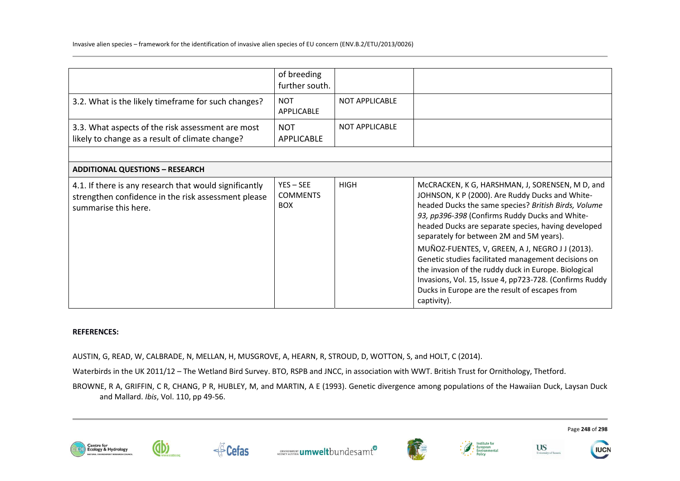|                                                                                                                                       | of breeding<br>further south.                |                       |                                                                                                                                                                                                                                                                                                                                                                                                                                                                                                                                                                                                               |
|---------------------------------------------------------------------------------------------------------------------------------------|----------------------------------------------|-----------------------|---------------------------------------------------------------------------------------------------------------------------------------------------------------------------------------------------------------------------------------------------------------------------------------------------------------------------------------------------------------------------------------------------------------------------------------------------------------------------------------------------------------------------------------------------------------------------------------------------------------|
| 3.2. What is the likely timeframe for such changes?                                                                                   | <b>NOT</b><br>APPLICABLE                     | <b>NOT APPLICABLE</b> |                                                                                                                                                                                                                                                                                                                                                                                                                                                                                                                                                                                                               |
| 3.3. What aspects of the risk assessment are most<br>likely to change as a result of climate change?                                  | <b>NOT</b><br><b>APPLICABLE</b>              | <b>NOT APPLICABLE</b> |                                                                                                                                                                                                                                                                                                                                                                                                                                                                                                                                                                                                               |
|                                                                                                                                       |                                              |                       |                                                                                                                                                                                                                                                                                                                                                                                                                                                                                                                                                                                                               |
| <b>ADDITIONAL QUESTIONS - RESEARCH</b>                                                                                                |                                              |                       |                                                                                                                                                                                                                                                                                                                                                                                                                                                                                                                                                                                                               |
| 4.1. If there is any research that would significantly<br>strengthen confidence in the risk assessment please<br>summarise this here. | $YES - SEE$<br><b>COMMENTS</b><br><b>BOX</b> | <b>HIGH</b>           | McCRACKEN, K G, HARSHMAN, J, SORENSEN, M D, and<br>JOHNSON, K P (2000). Are Ruddy Ducks and White-<br>headed Ducks the same species? British Birds, Volume<br>93, pp396-398 (Confirms Ruddy Ducks and White-<br>headed Ducks are separate species, having developed<br>separately for between 2M and 5M years).<br>MUÑOZ-FUENTES, V, GREEN, A J, NEGRO J J (2013).<br>Genetic studies facilitated management decisions on<br>the invasion of the ruddy duck in Europe. Biological<br>Invasions, Vol. 15, Issue 4, pp723-728. (Confirms Ruddy<br>Ducks in Europe are the result of escapes from<br>captivity). |

### **REFERENCES:**

AUSTIN, G, READ, W, CALBRADE, N, MELLAN, H, MUSGROVE, A, HEARN, R, STROUD, D, WOTTON, S, and HOLT, C (2014).

Waterbirds in the UK 2011/12 – The Wetland Bird Survey. BTO, RSPB and JNCC, in association with WWT. British Trust for Ornithology, Thetford.

BROWNE, R A, GRIFFIN, C R, CHANG, P R, HUBLEY, M, and MARTIN, A E (1993). Genetic divergence among populations of the Hawaiian Duck, Laysan Duck and Mallard. *Ibis*, Vol. 110, pp 49-56.













Page **248** of **298**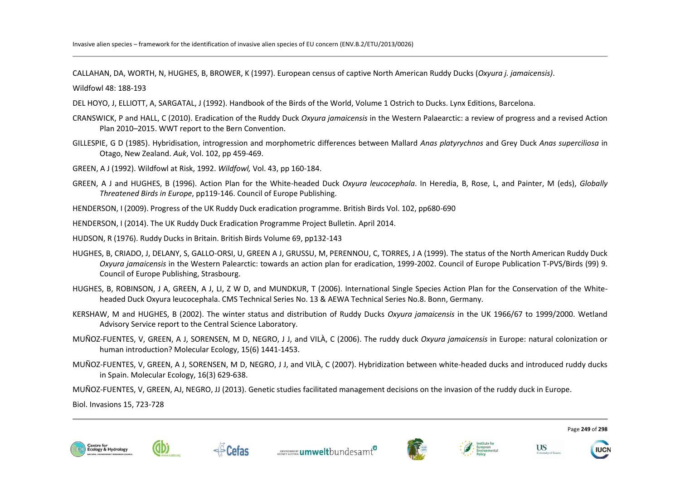CALLAHAN, DA, WORTH, N, HUGHES, B, BROWER, K (1997). European census of captive North American Ruddy Ducks (*Oxyura j. jamaicensis)*.

Wildfowl 48: 188-193

- DEL HOYO, J, ELLIOTT, A, SARGATAL, J (1992). Handbook of the Birds of the World, Volume 1 Ostrich to Ducks. Lynx Editions, Barcelona.
- CRANSWICK, P and HALL, C (2010). Eradication of the Ruddy Duck *Oxyura jamaicensis* in the Western Palaearctic: a review of progress and a revised Action Plan 2010–2015. WWT report to the Bern Convention.
- GILLESPIE, G D (1985). Hybridisation, introgression and morphometric differences between Mallard *Anas platyrychnos* and Grey Duck *Anas superciliosa* in Otago, New Zealand. *Auk*, Vol. 102, pp 459-469.
- GREEN, A J (1992). Wildfowl at Risk, 1992. *Wildfowl,* Vol. 43, pp 160-184.
- GREEN, A J and HUGHES, B (1996). Action Plan for the White-headed Duck *Oxyura leucocephala*. In Heredia, B, Rose, L, and Painter, M (eds), *Globally Threatened Birds in Europe*, pp119-146. Council of Europe Publishing.

HENDERSON, I (2009). Progress of the UK Ruddy Duck eradication programme. British Birds Vol. 102, pp680-690

HENDERSON, I (2014). The UK Ruddy Duck Eradication Programme Project Bulletin. April 2014.

HUDSON, R (1976). Ruddy Ducks in Britain. British Birds Volume 69, pp132-143

- HUGHES, B, CRIADO, J, DELANY, S, GALLO-ORSI, U, GREEN A J, GRUSSU, M, PERENNOU, C, TORRES, J A (1999). The status of the North American Ruddy Duck *Oxyura jamaicensis* in the Western Palearctic: towards an action plan for eradication, 1999-2002. Council of Europe Publication T-PVS/Birds (99) 9. Council of Europe Publishing, Strasbourg.
- HUGHES, B, ROBINSON, J A, GREEN, A J, LI, Z W D, and MUNDKUR, T (2006). International Single Species Action Plan for the Conservation of the Whiteheaded Duck Oxyura leucocephala. CMS Technical Series No. 13 & AEWA Technical Series No.8. Bonn, Germany.
- KERSHAW, M and HUGHES, B (2002). The winter status and distribution of Ruddy Ducks *Oxyura jamaicensis* in the UK 1966/67 to 1999/2000. Wetland Advisory Service report to the Central Science Laboratory.
- MUÑOZ-FUENTES, V, GREEN, A J, SORENSEN, M D, NEGRO, J J, and VILÀ, C (2006). The ruddy duck *Oxyura jamaicensis* in Europe: natural colonization or human introduction? Molecular Ecology, 15(6) 1441-1453.
- MUÑOZ-FUENTES, V, GREEN, A J, SORENSEN, M D, NEGRO, J J, and VILÀ, C (2007). Hybridization between white-headed ducks and introduced ruddy ducks in Spain. Molecular Ecology, 16(3) 629-638.
- MUÑOZ-FUENTES, V, GREEN, AJ, NEGRO, JJ (2013). Genetic studies facilitated management decisions on the invasion of the ruddy duck in Europe.

Biol. Invasions 15, 723-728













Page **249** of **298**